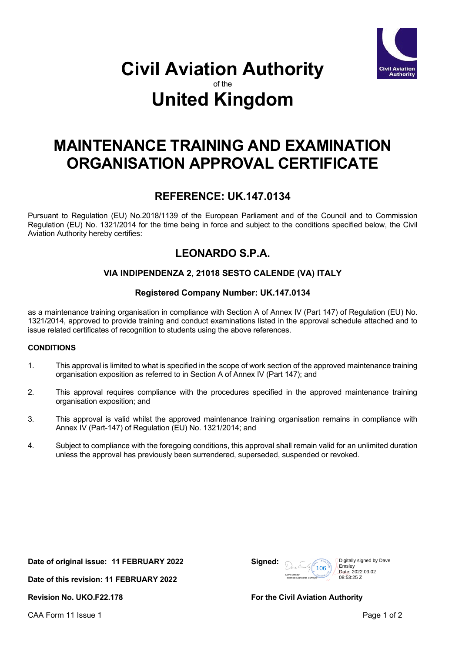

# **Civil Aviation Authority** of the **United Kingdom**

# **MAINTENANCE TRAINING AND EXAMINATION ORGANISATION APPROVAL CERTIFICATE**

## **REFERENCE: UK.147.0134**

Pursuant to Regulation (EU) No.2018/1139 of the European Parliament and of the Council and to Commission Regulation (EU) No. 1321/2014 for the time being in force and subject to the conditions specified below, the Civil Aviation Authority hereby certifies:

## **LEONARDO S.P.A.**

## **VIA INDIPENDENZA 2, 21018 SESTO CALENDE (VA) ITALY**

## **Registered Company Number: UK.147.0134**

as a maintenance training organisation in compliance with Section A of Annex IV (Part 147) of Regulation (EU) No. 1321/2014, approved to provide training and conduct examinations listed in the approval schedule attached and to issue related certificates of recognition to students using the above references.

## **CONDITIONS**

- 1. This approval is limited to what is specified in the scope of work section of the approved maintenance training organisation exposition as referred to in Section A of Annex IV (Part 147); and
- 2. This approval requires compliance with the procedures specified in the approved maintenance training organisation exposition; and
- 3. This approval is valid whilst the approved maintenance training organisation remains in compliance with Annex IV (Part-147) of Regulation (EU) No. 1321/2014; and
- 4. Subject to compliance with the foregoing conditions, this approval shall remain valid for an unlimited duration unless the approval has previously been surrendered, superseded, suspended or revoked.

**Date of original issue: 11 FEBRUARY 2022 Signed:**

**Date of this revision: 11 FEBRUARY 2022**



**Revision No. UKO.F22.178 For the Civil Aviation Authority**

CAA Form 11 Issue 1 **Page 1** of 2